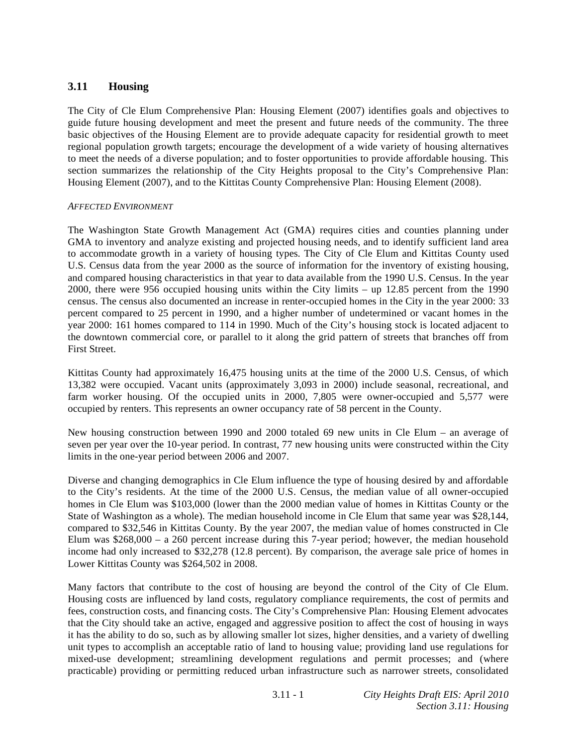# **3.11 Housing**

The City of Cle Elum Comprehensive Plan: Housing Element (2007) identifies goals and objectives to guide future housing development and meet the present and future needs of the community. The three basic objectives of the Housing Element are to provide adequate capacity for residential growth to meet regional population growth targets; encourage the development of a wide variety of housing alternatives to meet the needs of a diverse population; and to foster opportunities to provide affordable housing. This section summarizes the relationship of the City Heights proposal to the City's Comprehensive Plan: Housing Element (2007), and to the Kittitas County Comprehensive Plan: Housing Element (2008).

#### *AFFECTED ENVIRONMENT*

The Washington State Growth Management Act (GMA) requires cities and counties planning under GMA to inventory and analyze existing and projected housing needs, and to identify sufficient land area to accommodate growth in a variety of housing types. The City of Cle Elum and Kittitas County used U.S. Census data from the year 2000 as the source of information for the inventory of existing housing, and compared housing characteristics in that year to data available from the 1990 U.S. Census. In the year 2000, there were 956 occupied housing units within the City limits – up 12.85 percent from the 1990 census. The census also documented an increase in renter-occupied homes in the City in the year 2000: 33 percent compared to 25 percent in 1990, and a higher number of undetermined or vacant homes in the year 2000: 161 homes compared to 114 in 1990. Much of the City's housing stock is located adjacent to the downtown commercial core, or parallel to it along the grid pattern of streets that branches off from First Street.

Kittitas County had approximately 16,475 housing units at the time of the 2000 U.S. Census, of which 13,382 were occupied. Vacant units (approximately 3,093 in 2000) include seasonal, recreational, and farm worker housing. Of the occupied units in 2000, 7,805 were owner-occupied and 5,577 were occupied by renters. This represents an owner occupancy rate of 58 percent in the County.

New housing construction between 1990 and 2000 totaled 69 new units in Cle Elum – an average of seven per year over the 10-year period. In contrast, 77 new housing units were constructed within the City limits in the one-year period between 2006 and 2007.

Diverse and changing demographics in Cle Elum influence the type of housing desired by and affordable to the City's residents. At the time of the 2000 U.S. Census, the median value of all owner-occupied homes in Cle Elum was \$103,000 (lower than the 2000 median value of homes in Kittitas County or the State of Washington as a whole). The median household income in Cle Elum that same year was \$28,144, compared to \$32,546 in Kittitas County. By the year 2007, the median value of homes constructed in Cle Elum was \$268,000 – a 260 percent increase during this 7-year period; however, the median household income had only increased to \$32,278 (12.8 percent). By comparison, the average sale price of homes in Lower Kittitas County was \$264,502 in 2008.

Many factors that contribute to the cost of housing are beyond the control of the City of Cle Elum. Housing costs are influenced by land costs, regulatory compliance requirements, the cost of permits and fees, construction costs, and financing costs. The City's Comprehensive Plan: Housing Element advocates that the City should take an active, engaged and aggressive position to affect the cost of housing in ways it has the ability to do so, such as by allowing smaller lot sizes, higher densities, and a variety of dwelling unit types to accomplish an acceptable ratio of land to housing value; providing land use regulations for mixed-use development; streamlining development regulations and permit processes; and (where practicable) providing or permitting reduced urban infrastructure such as narrower streets, consolidated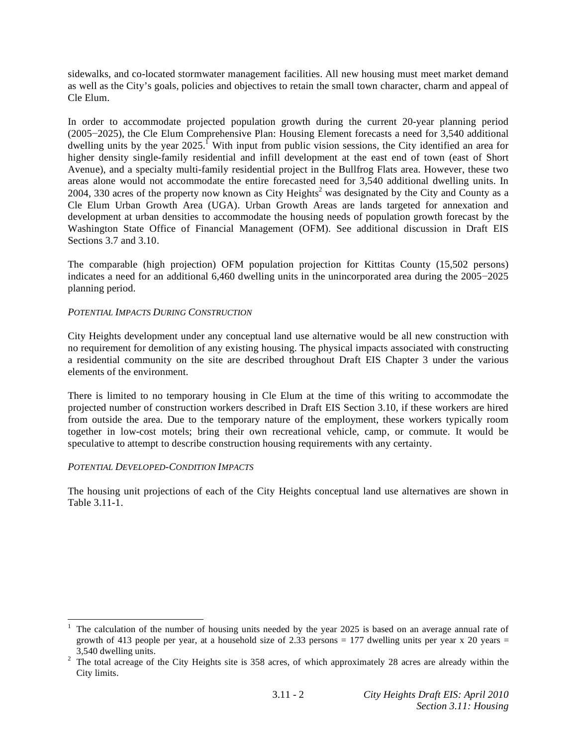sidewalks, and co-located stormwater management facilities. All new housing must meet market demand as well as the City's goals, policies and objectives to retain the small town character, charm and appeal of Cle Elum.

In order to accommodate projected population growth during the current 20-year planning period  $(2005-2025)$ , the Cle Elum Comprehensive Plan: Housing Element forecasts a need for 3,540 additional dwelling units by the year 2025.<sup> $\Gamma$ </sup> With input from public vision sessions, the City identified an area for higher density single-family residential and infill development at the east end of town (east of Short Avenue), and a specialty multi-family residential project in the Bullfrog Flats area. However, these two areas alone would not accommodate the entire forecasted need for 3,540 additional dwelling units. In 2004, 330 acres of the property now known as City Heights<sup>2</sup> was designated by the City and County as a Cle Elum Urban Growth Area (UGA). Urban Growth Areas are lands targeted for annexation and development at urban densities to accommodate the housing needs of population growth forecast by the Washington State Office of Financial Management (OFM). See additional discussion in Draft EIS Sections 3.7 and 3.10.

The comparable (high projection) OFM population projection for Kittitas County (15,502 persons) indicates a need for an additional  $6,460$  dwelling units in the unincorporated area during the  $2005-2025$ planning period.

### *POTENTIAL IMPACTS DURING CONSTRUCTION*

City Heights development under any conceptual land use alternative would be all new construction with no requirement for demolition of any existing housing. The physical impacts associated with constructing a residential community on the site are described throughout Draft EIS Chapter 3 under the various elements of the environment.

There is limited to no temporary housing in Cle Elum at the time of this writing to accommodate the projected number of construction workers described in Draft EIS Section 3.10, if these workers are hired from outside the area. Due to the temporary nature of the employment, these workers typically room together in low-cost motels; bring their own recreational vehicle, camp, or commute. It would be speculative to attempt to describe construction housing requirements with any certainty.

#### *POTENTIAL DEVELOPED-CONDITION IMPACTS*

The housing unit projections of each of the City Heights conceptual land use alternatives are shown in Table 3.11-1.

<sup>1</sup> 1 The calculation of the number of housing units needed by the year 2025 is based on an average annual rate of growth of 413 people per year, at a household size of 2.33 persons = 177 dwelling units per year  $x$  20 years =

<sup>3,540</sup> dwelling units. 2 The total acreage of the City Heights site is 358 acres, of which approximately 28 acres are already within the City limits.